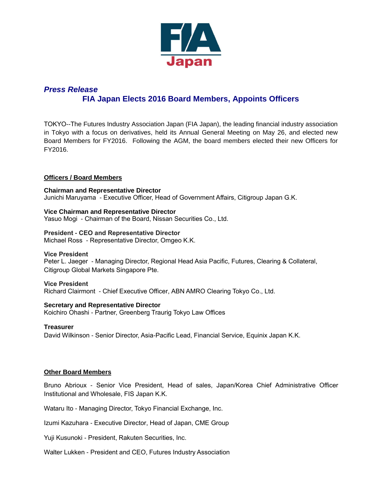

# *Press Release* **FIA Japan Elects 2016 Board Members, Appoints Officers**

TOKYO--The Futures Industry Association Japan (FIA Japan), the leading financial industry association in Tokyo with a focus on derivatives, held its Annual General Meeting on May 26, and elected new Board Members for FY2016. Following the AGM, the board members elected their new Officers for FY2016.

# **Officers / Board Members**

**Chairman and Representative Director** Junichi Maruyama - Executive Officer, Head of Government Affairs, Citigroup Japan G.K.

**Vice Chairman and Representative Director** Yasuo Mogi - Chairman of the Board, Nissan Securities Co., Ltd.

#### **President - CEO and Representative Director**

Michael Ross - Representative Director, Omgeo K.K.

#### **Vice President**

Peter L. Jaeger - Managing Director, Regional Head Asia Pacific, Futures, Clearing & Collateral, Citigroup Global Markets Singapore Pte.

#### **Vice President**

Richard Clairmont - Chief Executive Officer, ABN AMRO Clearing Tokyo Co., Ltd.

# **Secretary and Representative Director**

Koichiro Ohashi - Partner, Greenberg Traurig Tokyo Law Offices

#### **Treasurer**

David Wilkinson - Senior Director, Asia-Pacific Lead, Financial Service, Equinix Japan K.K.

# **Other Board Members**

Bruno Abrioux - Senior Vice President, Head of sales, Japan/Korea Chief Administrative Officer Institutional and Wholesale, FIS Japan K.K.

Wataru Ito - Managing Director, Tokyo Financial Exchange, Inc.

Izumi Kazuhara - Executive Director, Head of Japan, CME Group

Yuji Kusunoki - President, Rakuten Securities, Inc.

Walter Lukken - President and CEO, Futures Industry Association